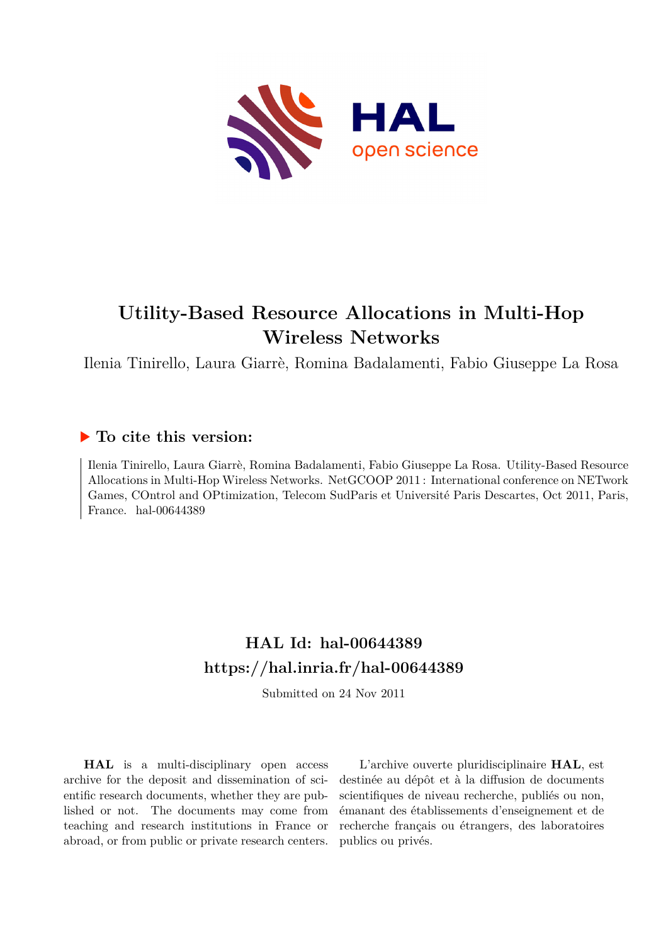

# **Utility-Based Resource Allocations in Multi-Hop Wireless Networks**

Ilenia Tinirello, Laura Giarrè, Romina Badalamenti, Fabio Giuseppe La Rosa

# **To cite this version:**

Ilenia Tinirello, Laura Giarrè, Romina Badalamenti, Fabio Giuseppe La Rosa. Utility-Based Resource Allocations in Multi-Hop Wireless Networks. NetGCOOP 2011 : International conference on NETwork Games, COntrol and OPtimization, Telecom SudParis et Université Paris Descartes, Oct 2011, Paris, France. hal- $00644389$ 

# **HAL Id: hal-00644389 <https://hal.inria.fr/hal-00644389>**

Submitted on 24 Nov 2011

**HAL** is a multi-disciplinary open access archive for the deposit and dissemination of scientific research documents, whether they are published or not. The documents may come from teaching and research institutions in France or abroad, or from public or private research centers.

L'archive ouverte pluridisciplinaire **HAL**, est destinée au dépôt et à la diffusion de documents scientifiques de niveau recherche, publiés ou non, émanant des établissements d'enseignement et de recherche français ou étrangers, des laboratoires publics ou privés.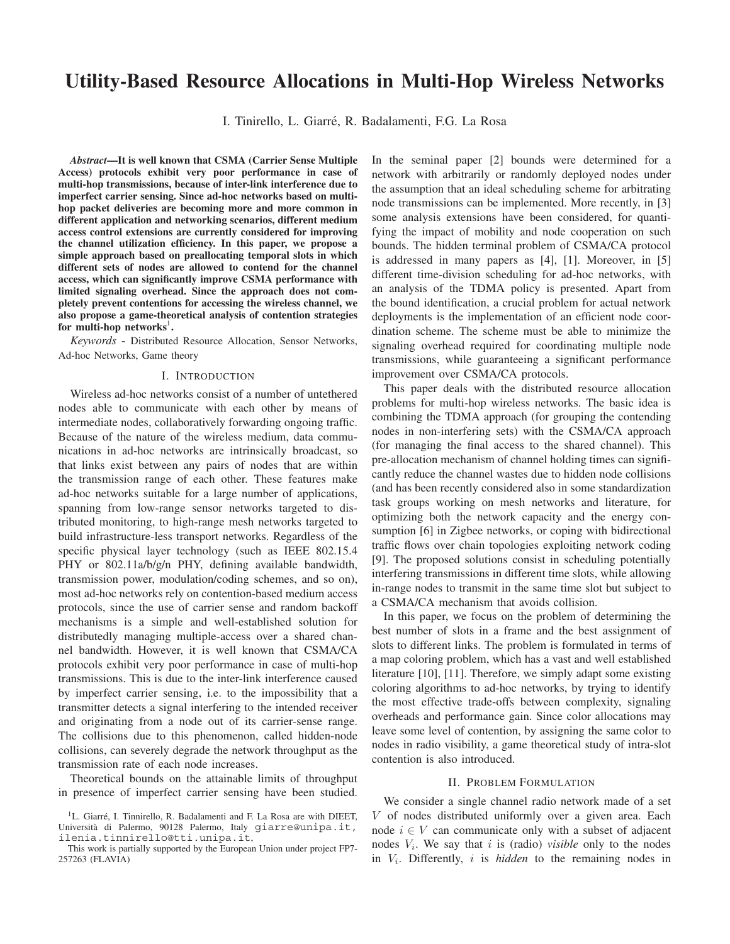# **Utility-Based Resource Allocations in Multi-Hop Wireless Networks**

I. Tinirello, L. Giarré, R. Badalamenti, F.G. La Rosa

*Abstract***—It is well known that CSMA (Carrier Sense Multiple Access) protocols exhibit very poor performance in case of multi-hop transmissions, because of inter-link interference due to imperfect carrier sensing. Since ad-hoc networks based on multihop packet deliveries are becoming more and more common in different application and networking scenarios, different medium access control extensions are currently considered for improving the channel utilization efficiency. In this paper, we propose a simple approach based on preallocating temporal slots in which different sets of nodes are allowed to contend for the channel access, which can significantly improve CSMA performance with limited signaling overhead. Since the approach does not completely prevent contentions for accessing the wireless channel, we also propose a game-theoretical analysis of contention strategies** for multi-hop networks<sup>1</sup>.

*Keywords* - Distributed Resource Allocation, Sensor Networks, Ad-hoc Networks, Game theory

#### I. INTRODUCTION

Wireless ad-hoc networks consist of a number of untethered nodes able to communicate with each other by means of intermediate nodes, collaboratively forwarding ongoing traffic. Because of the nature of the wireless medium, data communications in ad-hoc networks are intrinsically broadcast, so that links exist between any pairs of nodes that are within the transmission range of each other. These features make ad-hoc networks suitable for a large number of applications, spanning from low-range sensor networks targeted to distributed monitoring, to high-range mesh networks targeted to build infrastructure-less transport networks. Regardless of the specific physical layer technology (such as IEEE 802.15.4 PHY or 802.11a/b/g/n PHY, defining available bandwidth, transmission power, modulation/coding schemes, and so on), most ad-hoc networks rely on contention-based medium access protocols, since the use of carrier sense and random backoff mechanisms is a simple and well-established solution for distributedly managing multiple-access over a shared channel bandwidth. However, it is well known that CSMA/CA protocols exhibit very poor performance in case of multi-hop transmissions. This is due to the inter-link interference caused by imperfect carrier sensing, i.e. to the impossibility that a transmitter detects a signal interfering to the intended receiver and originating from a node out of its carrier-sense range. The collisions due to this phenomenon, called hidden-node collisions, can severely degrade the network throughput as the transmission rate of each node increases.

Theoretical bounds on the attainable limits of throughput in presence of imperfect carrier sensing have been studied.

In the seminal paper [2] bounds were determined for a network with arbitrarily or randomly deployed nodes under the assumption that an ideal scheduling scheme for arbitrating node transmissions can be implemented. More recently, in [3] some analysis extensions have been considered, for quantifying the impact of mobility and node cooperation on such bounds. The hidden terminal problem of CSMA/CA protocol is addressed in many papers as [4], [1]. Moreover, in [5] different time-division scheduling for ad-hoc networks, with an analysis of the TDMA policy is presented. Apart from the bound identification, a crucial problem for actual network deployments is the implementation of an efficient node coordination scheme. The scheme must be able to minimize the signaling overhead required for coordinating multiple node transmissions, while guaranteeing a significant performance improvement over CSMA/CA protocols.

This paper deals with the distributed resource allocation problems for multi-hop wireless networks. The basic idea is combining the TDMA approach (for grouping the contending nodes in non-interfering sets) with the CSMA/CA approach (for managing the final access to the shared channel). This pre-allocation mechanism of channel holding times can significantly reduce the channel wastes due to hidden node collisions (and has been recently considered also in some standardization task groups working on mesh networks and literature, for optimizing both the network capacity and the energy consumption [6] in Zigbee networks, or coping with bidirectional traffic flows over chain topologies exploiting network coding [9]. The proposed solutions consist in scheduling potentially interfering transmissions in different time slots, while allowing in-range nodes to transmit in the same time slot but subject to a CSMA/CA mechanism that avoids collision.

In this paper, we focus on the problem of determining the best number of slots in a frame and the best assignment of slots to different links. The problem is formulated in terms of a map coloring problem, which has a vast and well established literature [10], [11]. Therefore, we simply adapt some existing coloring algorithms to ad-hoc networks, by trying to identify the most effective trade-offs between complexity, signaling overheads and performance gain. Since color allocations may leave some level of contention, by assigning the same color to nodes in radio visibility, a game theoretical study of intra-slot contention is also introduced.

#### II. PROBLEM FORMULATION

We consider a single channel radio network made of a set  $V$  of nodes distributed uniformly over a given area. Each node  $i \in V$  can communicate only with a subset of adjacent nodes  $V_i$ . We say that i is (radio) *visible* only to the nodes in  $V_i$ . Differently,  $i$  is *hidden* to the remaining nodes in

 ${}^{1}$ L. Giarré, I. Tinnirello, R. Badalamenti and F. La Rosa are with DIEET, Università di Palermo, 90128 Palermo, Italy giarre@unipa.it, ilenia.tinnirello@tti.unipa.it,

This work is partially supported by the European Union under project FP7- 257263 (FLAVIA)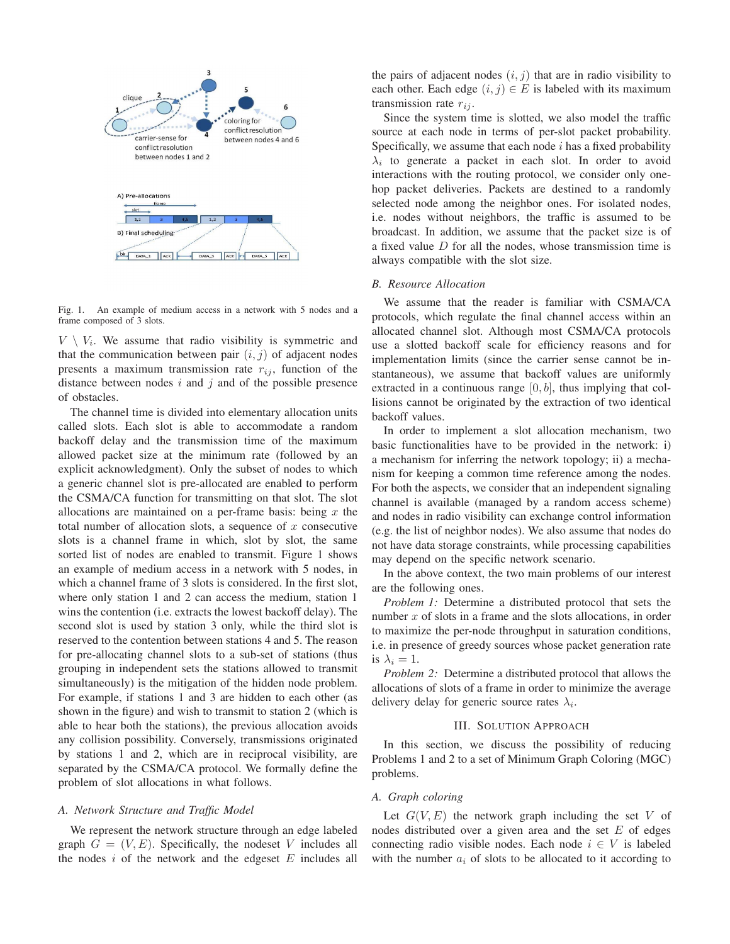

Fig. 1. An example of medium access in a network with 5 nodes and a frame composed of 3 slots.

 $V \setminus V_i$ . We assume that radio visibility is symmetric and that the communication between pair  $(i, j)$  of adjacent nodes presents a maximum transmission rate  $r_{ij}$ , function of the distance between nodes  $i$  and  $j$  and of the possible presence of obstacles.

The channel time is divided into elementary allocation units called slots. Each slot is able to accommodate a random backoff delay and the transmission time of the maximum allowed packet size at the minimum rate (followed by an explicit acknowledgment). Only the subset of nodes to which a generic channel slot is pre-allocated are enabled to perform the CSMA/CA function for transmitting on that slot. The slot allocations are maintained on a per-frame basis: being  $x$  the total number of allocation slots, a sequence of  $x$  consecutive slots is a channel frame in which, slot by slot, the same sorted list of nodes are enabled to transmit. Figure 1 shows an example of medium access in a network with 5 nodes, in which a channel frame of 3 slots is considered. In the first slot, where only station 1 and 2 can access the medium, station 1 wins the contention (i.e. extracts the lowest backoff delay). The second slot is used by station 3 only, while the third slot is reserved to the contention between stations 4 and 5. The reason for pre-allocating channel slots to a sub-set of stations (thus grouping in independent sets the stations allowed to transmit simultaneously) is the mitigation of the hidden node problem. For example, if stations 1 and 3 are hidden to each other (as shown in the figure) and wish to transmit to station 2 (which is able to hear both the stations), the previous allocation avoids any collision possibility. Conversely, transmissions originated by stations 1 and 2, which are in reciprocal visibility, are separated by the CSMA/CA protocol. We formally define the problem of slot allocations in what follows.

## *A. Network Structure and Traffic Model*

We represent the network structure through an edge labeled graph  $G = (V, E)$ . Specifically, the nodeset V includes all the nodes  $i$  of the network and the edgeset  $E$  includes all

the pairs of adjacent nodes  $(i, j)$  that are in radio visibility to each other. Each edge  $(i, j) \in E$  is labeled with its maximum transmission rate  $r_{ij}$ .

Since the system time is slotted, we also model the traffic source at each node in terms of per-slot packet probability. Specifically, we assume that each node  $i$  has a fixed probability  $\lambda_i$  to generate a packet in each slot. In order to avoid interactions with the routing protocol, we consider only onehop packet deliveries. Packets are destined to a randomly selected node among the neighbor ones. For isolated nodes, i.e. nodes without neighbors, the traffic is assumed to be broadcast. In addition, we assume that the packet size is of a fixed value  $D$  for all the nodes, whose transmission time is always compatible with the slot size.

## *B. Resource Allocation*

We assume that the reader is familiar with CSMA/CA protocols, which regulate the final channel access within an allocated channel slot. Although most CSMA/CA protocols use a slotted backoff scale for efficiency reasons and for implementation limits (since the carrier sense cannot be instantaneous), we assume that backoff values are uniformly extracted in a continuous range  $[0, b]$ , thus implying that collisions cannot be originated by the extraction of two identical backoff values.

In order to implement a slot allocation mechanism, two basic functionalities have to be provided in the network: i) a mechanism for inferring the network topology; ii) a mechanism for keeping a common time reference among the nodes. For both the aspects, we consider that an independent signaling channel is available (managed by a random access scheme) and nodes in radio visibility can exchange control information (e.g. the list of neighbor nodes). We also assume that nodes do not have data storage constraints, while processing capabilities may depend on the specific network scenario.

In the above context, the two main problems of our interest are the following ones.

*Problem 1:* Determine a distributed protocol that sets the number  $x$  of slots in a frame and the slots allocations, in order to maximize the per-node throughput in saturation conditions, i.e. in presence of greedy sources whose packet generation rate is  $\lambda_i = 1$ .

*Problem 2:* Determine a distributed protocol that allows the allocations of slots of a frame in order to minimize the average delivery delay for generic source rates  $\lambda_i$ .

#### III. SOLUTION APPROACH

In this section, we discuss the possibility of reducing Problems 1 and 2 to a set of Minimum Graph Coloring (MGC) problems.

#### *A. Graph coloring*

Let  $G(V, E)$  the network graph including the set V of nodes distributed over a given area and the set  $E$  of edges connecting radio visible nodes. Each node  $i \in V$  is labeled with the number  $a_i$  of slots to be allocated to it according to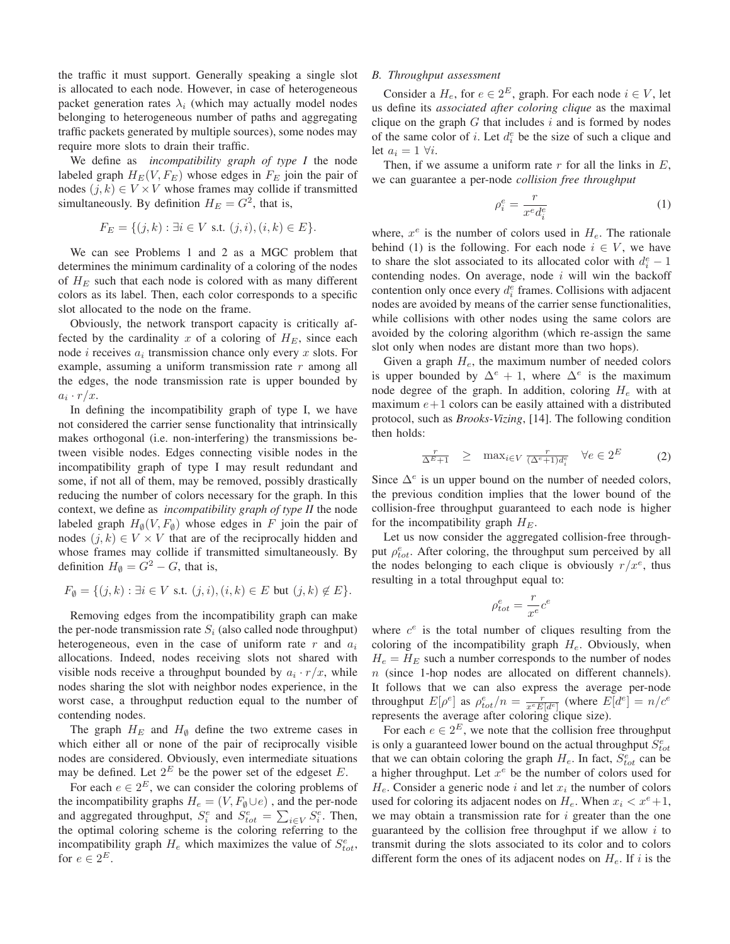the traffic it must support. Generally speaking a single slot is allocated to each node. However, in case of heterogeneous packet generation rates  $\lambda_i$  (which may actually model nodes belonging to heterogeneous number of paths and aggregating traffic packets generated by multiple sources), some nodes may require more slots to drain their traffic.

We define as *incompatibility graph of type I* the node labeled graph  $H_E(V, F_E)$  whose edges in  $F_E$  join the pair of nodes  $(j, k) \in V \times V$  whose frames may collide if transmitted simultaneously. By definition  $H_E = G^2$ , that is,

$$
F_E = \{(j,k) : \exists i \in V \text{ s.t. } (j,i), (i,k) \in E\}.
$$

We can see Problems 1 and 2 as a MGC problem that determines the minimum cardinality of a coloring of the nodes of  $H_E$  such that each node is colored with as many different colors as its label. Then, each color corresponds to a specific slot allocated to the node on the frame.

Obviously, the network transport capacity is critically affected by the cardinality x of a coloring of  $H_E$ , since each node *i* receives  $a_i$  transmission chance only every  $x$  slots. For example, assuming a uniform transmission rate  $r$  among all the edges, the node transmission rate is upper bounded by  $a_i \cdot r/x$ .

In defining the incompatibility graph of type I, we have not considered the carrier sense functionality that intrinsically makes orthogonal (i.e. non-interfering) the transmissions between visible nodes. Edges connecting visible nodes in the incompatibility graph of type I may result redundant and some, if not all of them, may be removed, possibly drastically reducing the number of colors necessary for the graph. In this context, we define as *incompatibility graph of type II* the node labeled graph  $H_{\emptyset}(V, F_{\emptyset})$  whose edges in F join the pair of nodes  $(j, k) \in V \times V$  that are of the reciprocally hidden and whose frames may collide if transmitted simultaneously. By definition  $H_{\emptyset} = \dot{G}^2 - G$ , that is,

$$
F_{\emptyset} = \{ (j,k) : \exists i \in V \text{ s.t. } (j,i), (i,k) \in E \text{ but } (j,k) \notin E \}.
$$

Removing edges from the incompatibility graph can make the per-node transmission rate  $S_i$  (also called node throughput) heterogeneous, even in the case of uniform rate  $r$  and  $a_i$ allocations. Indeed, nodes receiving slots not shared with visible nods receive a throughput bounded by  $a_i \cdot r/x$ , while nodes sharing the slot with neighbor nodes experience, in the worst case, a throughput reduction equal to the number of contending nodes.

The graph  $H_E$  and  $H_{\emptyset}$  define the two extreme cases in which either all or none of the pair of reciprocally visible nodes are considered. Obviously, even intermediate situations may be defined. Let  $2^E$  be the power set of the edgeset E.

For each  $e \in 2^E$ , we can consider the coloring problems of the incompatibility graphs  $H_e = (V, F_\emptyset \cup e)$ , and the per-node and aggregated throughput,  $S_i^e$  and  $S_{tot}^e = \sum_{i \in V} S_i^e$ . Then, the optimal coloring scheme is the coloring referring to the incompatibility graph  $H_e$  which maximizes the value of  $S_{tot}^e$ , for  $e \in 2^E$ .

### *B. Throughput assessment*

Consider a  $H_e$ , for  $e \in 2^E$ , graph. For each node  $i \in V$ , let us define its *associated after coloring clique* as the maximal clique on the graph  $G$  that includes  $i$  and is formed by nodes of the same color of *i*. Let  $d_i^e$  be the size of such a clique and let  $a_i = 1 \forall i$ .

Then, if we assume a uniform rate  $r$  for all the links in  $E$ , we can guarantee a per-node *collision free throughput*

$$
\rho_i^e = \frac{r}{x^e d_i^e} \tag{1}
$$

where,  $x^e$  is the number of colors used in  $H_e$ . The rationale behind (1) is the following. For each node  $i \in V$ , we have to share the slot associated to its allocated color with  $d_i^e - 1$ contending nodes. On average, node  $i$  will win the backoff contention only once every  $d_i^e$  frames. Collisions with adjacent nodes are avoided by means of the carrier sense functionalities, while collisions with other nodes using the same colors are avoided by the coloring algorithm (which re-assign the same slot only when nodes are distant more than two hops).

Given a graph  $H_e$ , the maximum number of needed colors is upper bounded by  $\Delta^e + 1$ , where  $\Delta^e$  is the maximum node degree of the graph. In addition, coloring  $H_e$  with at maximum  $e+1$  colors can be easily attained with a distributed protocol, such as *Brooks-Vizing*, [14]. The following condition then holds:

$$
\frac{r}{\Delta^{E}+1} \geq \max_{i \in V} \frac{r}{(\Delta^{e}+1)d_{i}^{e}} \quad \forall e \in 2^{E}
$$
 (2)

Since  $\Delta^e$  is un upper bound on the number of needed colors, the previous condition implies that the lower bound of the collision-free throughput guaranteed to each node is higher for the incompatibility graph  $H_E$ .

Let us now consider the aggregated collision-free throughput  $\rho_{tot}^e$ . After coloring, the throughput sum perceived by all the nodes belonging to each clique is obviously  $r/x^e$ , thus resulting in a total throughput equal to:

$$
\rho^e_{tot} = \frac{r}{x^e}c^e
$$

where  $c^e$  is the total number of cliques resulting from the coloring of the incompatibility graph  $H_e$ . Obviously, when  $H_e = H_E$  such a number corresponds to the number of nodes  $n$  (since 1-hop nodes are allocated on different channels). It follows that we can also express the average per-node throughput  $E[\rho^e]$  as  $\rho_{tot}^e/n = \frac{r}{x^e E[d^e]}$  (where  $E[d^e] = n/c^e$ represents the average after coloring clique size).

For each  $e \in 2^E$ , we note that the collision free throughput is only a guaranteed lower bound on the actual throughput  $S_{tot}^e$ that we can obtain coloring the graph  $H_e$ . In fact,  $S_{tot}^e$  can be a higher throughput. Let  $x^e$  be the number of colors used for  $H_e$ . Consider a generic node *i* and let  $x_i$  the number of colors used for coloring its adjacent nodes on  $H_e$ . When  $x_i < x^e + 1$ , we may obtain a transmission rate for  $i$  greater than the one guaranteed by the collision free throughput if we allow  $i$  to transmit during the slots associated to its color and to colors different form the ones of its adjacent nodes on  $H_e$ . If i is the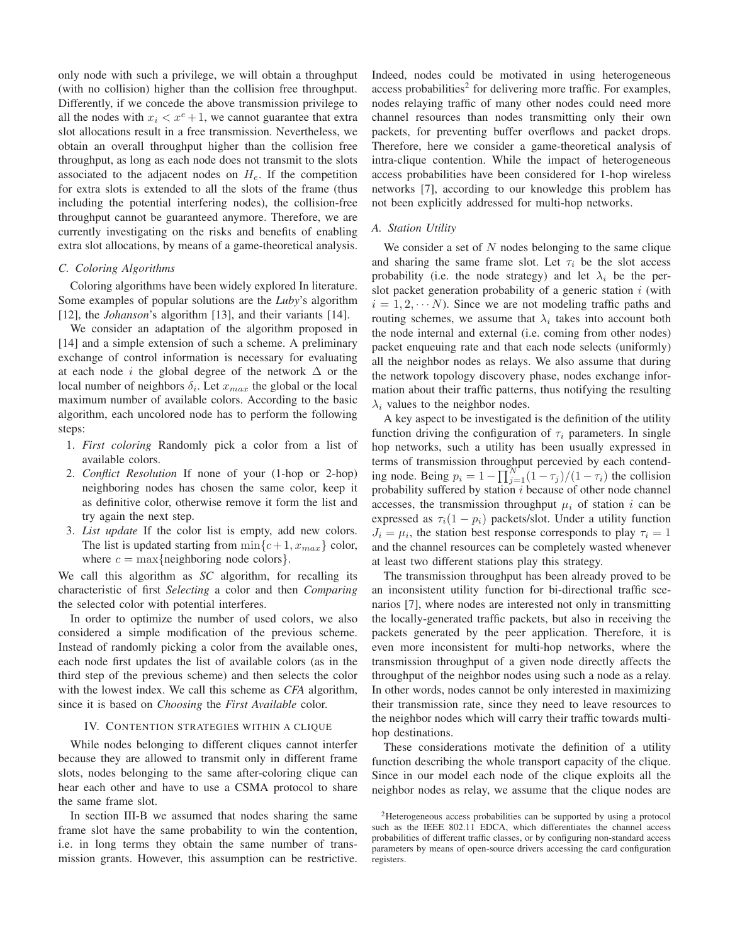only node with such a privilege, we will obtain a throughput (with no collision) higher than the collision free throughput. Differently, if we concede the above transmission privilege to all the nodes with  $x_i < x^e + 1$ , we cannot guarantee that extra slot allocations result in a free transmission. Nevertheless, we obtain an overall throughput higher than the collision free throughput, as long as each node does not transmit to the slots associated to the adjacent nodes on  $H_e$ . If the competition for extra slots is extended to all the slots of the frame (thus including the potential interfering nodes), the collision-free throughput cannot be guaranteed anymore. Therefore, we are currently investigating on the risks and benefits of enabling extra slot allocations, by means of a game-theoretical analysis.

# *C. Coloring Algorithms*

Coloring algorithms have been widely explored In literature. Some examples of popular solutions are the *Luby*'s algorithm [12], the *Johanson*'s algorithm [13], and their variants [14].

We consider an adaptation of the algorithm proposed in [14] and a simple extension of such a scheme. A preliminary exchange of control information is necessary for evaluating at each node *i* the global degree of the network  $\Delta$  or the local number of neighbors  $\delta_i$ . Let  $x_{max}$  the global or the local maximum number of available colors. According to the basic algorithm, each uncolored node has to perform the following steps:

- 1. *First coloring* Randomly pick a color from a list of available colors.
- 2. *Conflict Resolution* If none of your (1-hop or 2-hop) neighboring nodes has chosen the same color, keep it as definitive color, otherwise remove it form the list and try again the next step.
- 3. *List update* If the color list is empty, add new colors. The list is updated starting from  $\min\{c+1, x_{max}\}\$  color, where  $c = \max\{\text{neighbouring node colors}\}.$

We call this algorithm as *SC* algorithm, for recalling its characteristic of first *Selecting* a color and then *Comparing* the selected color with potential interferes.

In order to optimize the number of used colors, we also considered a simple modification of the previous scheme. Instead of randomly picking a color from the available ones, each node first updates the list of available colors (as in the third step of the previous scheme) and then selects the color with the lowest index. We call this scheme as *CFA* algorithm, since it is based on *Choosing* the *First Available* color.

#### IV. CONTENTION STRATEGIES WITHIN A CLIQUE

While nodes belonging to different cliques cannot interfer because they are allowed to transmit only in different frame slots, nodes belonging to the same after-coloring clique can hear each other and have to use a CSMA protocol to share the same frame slot.

In section III-B we assumed that nodes sharing the same frame slot have the same probability to win the contention, i.e. in long terms they obtain the same number of transmission grants. However, this assumption can be restrictive. Indeed, nodes could be motivated in using heterogeneous  $access probabilities<sup>2</sup>$  for delivering more traffic. For examples, nodes relaying traffic of many other nodes could need more channel resources than nodes transmitting only their own packets, for preventing buffer overflows and packet drops. Therefore, here we consider a game-theoretical analysis of intra-clique contention. While the impact of heterogeneous access probabilities have been considered for 1-hop wireless networks [7], according to our knowledge this problem has not been explicitly addressed for multi-hop networks.

#### *A. Station Utility*

We consider a set of  $N$  nodes belonging to the same clique and sharing the same frame slot. Let  $\tau_i$  be the slot access probability (i.e. the node strategy) and let  $\lambda_i$  be the perslot packet generation probability of a generic station  $i$  (with  $i = 1, 2, \cdots N$ ). Since we are not modeling traffic paths and routing schemes, we assume that  $\lambda_i$  takes into account both the node internal and external (i.e. coming from other nodes) packet enqueuing rate and that each node selects (uniformly) all the neighbor nodes as relays. We also assume that during the network topology discovery phase, nodes exchange information about their traffic patterns, thus notifying the resulting  $\lambda_i$  values to the neighbor nodes.

A key aspect to be investigated is the definition of the utility function driving the configuration of  $\tau_i$  parameters. In single hop networks, such a utility has been usually expressed in terms of transmission throughput percevied by each contending node. Being  $p_i = 1 - \prod_{j=1}^{N} (1 - \tau_j)/(1 - \tau_i)$  the collision probability suffered by station  $i$  because of other node channel accesses, the transmission throughput  $\mu_i$  of station *i* can be expressed as  $\tau_i(1 - p_i)$  packets/slot. Under a utility function  $J_i = \mu_i$ , the station best response corresponds to play  $\tau_i = 1$ and the channel resources can be completely wasted whenever at least two different stations play this strategy.

The transmission throughput has been already proved to be an inconsistent utility function for bi-directional traffic scenarios [7], where nodes are interested not only in transmitting the locally-generated traffic packets, but also in receiving the packets generated by the peer application. Therefore, it is even more inconsistent for multi-hop networks, where the transmission throughput of a given node directly affects the throughput of the neighbor nodes using such a node as a relay. In other words, nodes cannot be only interested in maximizing their transmission rate, since they need to leave resources to the neighbor nodes which will carry their traffic towards multihop destinations.

These considerations motivate the definition of a utility function describing the whole transport capacity of the clique. Since in our model each node of the clique exploits all the neighbor nodes as relay, we assume that the clique nodes are

<sup>2</sup>Heterogeneous access probabilities can be supported by using a protocol such as the IEEE 802.11 EDCA, which differentiates the channel access probabilities of different traffic classes, or by configuring non-standard access parameters by means of open-source drivers accessing the card configuration registers.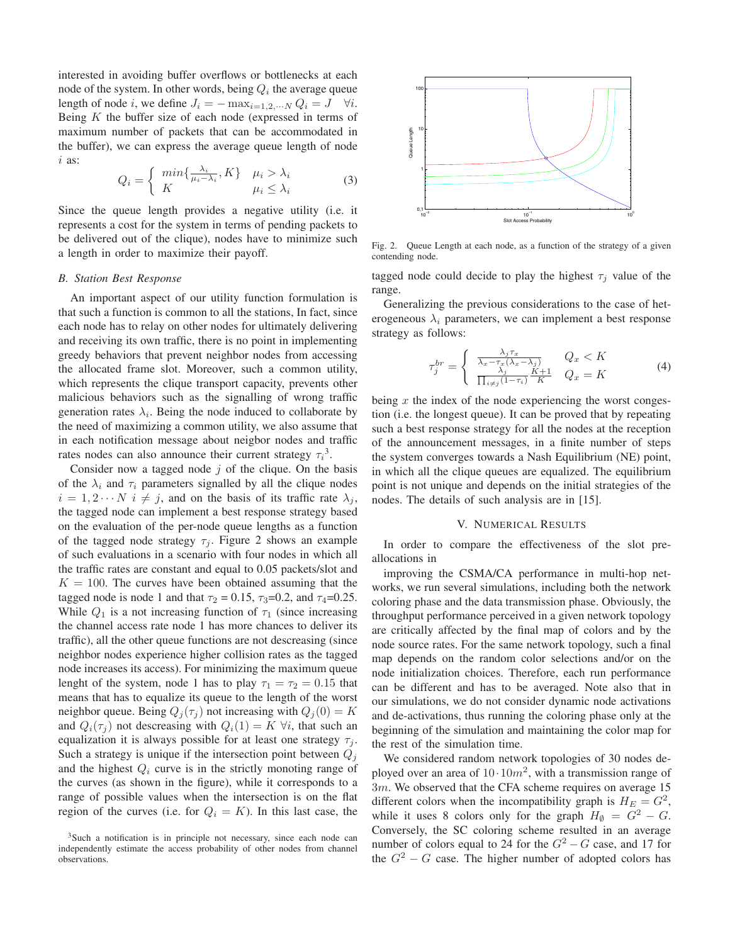interested in avoiding buffer overflows or bottlenecks at each node of the system. In other words, being  $Q_i$  the average queue length of node *i*, we define  $J_i = -\max_{i=1,2,\dots N} Q_i = J \quad \forall i$ . Being  $K$  the buffer size of each node (expressed in terms of maximum number of packets that can be accommodated in the buffer), we can express the average queue length of node  $i$  as:

$$
Q_i = \begin{cases} \min\{\frac{\lambda_i}{\mu_i - \lambda_i}, K\} & \mu_i > \lambda_i \\ K & \mu_i \le \lambda_i \end{cases}
$$
 (3)

Since the queue length provides a negative utility (i.e. it represents a cost for the system in terms of pending packets to be delivered out of the clique), nodes have to minimize such a length in order to maximize their payoff.

#### *B. Station Best Response*

An important aspect of our utility function formulation is that such a function is common to all the stations, In fact, since each node has to relay on other nodes for ultimately delivering and receiving its own traffic, there is no point in implementing greedy behaviors that prevent neighbor nodes from accessing the allocated frame slot. Moreover, such a common utility, which represents the clique transport capacity, prevents other malicious behaviors such as the signalling of wrong traffic generation rates  $\lambda_i$ . Being the node induced to collaborate by the need of maximizing a common utility, we also assume that in each notification message about neigbor nodes and traffic rates nodes can also announce their current strategy  $\tau_i^3$ .

Consider now a tagged node  $j$  of the clique. On the basis of the  $\lambda_i$  and  $\tau_i$  parameters signalled by all the clique nodes  $i = 1, 2 \cdots N$   $i \neq j$ , and on the basis of its traffic rate  $\lambda_j$ , the tagged node can implement a best response strategy based on the evaluation of the per-node queue lengths as a function of the tagged node strategy  $\tau_i$ . Figure 2 shows an example of such evaluations in a scenario with four nodes in which all the traffic rates are constant and equal to 0.05 packets/slot and  $K = 100$ . The curves have been obtained assuming that the tagged node is node 1 and that  $\tau_2 = 0.15$ ,  $\tau_3 = 0.2$ , and  $\tau_4 = 0.25$ . While  $Q_1$  is a not increasing function of  $\tau_1$  (since increasing the channel access rate node 1 has more chances to deliver its traffic), all the other queue functions are not descreasing (since neighbor nodes experience higher collision rates as the tagged node increases its access). For minimizing the maximum queue lenght of the system, node 1 has to play  $\tau_1 = \tau_2 = 0.15$  that means that has to equalize its queue to the length of the worst neighbor queue. Being  $Q_i(\tau_i)$  not increasing with  $Q_i(0) = K$ and  $Q_i(\tau_j)$  not descreasing with  $Q_i(1) = K \forall i$ , that such an equalization it is always possible for at least one strategy  $\tau_j$ . Such a strategy is unique if the intersection point between  $Q_i$ and the highest  $Q_i$  curve is in the strictly monoting range of the curves (as shown in the figure), while it corresponds to a range of possible values when the intersection is on the flat region of the curves (i.e. for  $Q_i = K$ ). In this last case, the





Fig. 2. Queue Length at each node, as a function of the strategy of a given contending node.

tagged node could decide to play the highest  $\tau_i$  value of the range.

Generalizing the previous considerations to the case of heterogeneous  $\lambda_i$  parameters, we can implement a best response strategy as follows:

$$
\tau_j^{br} = \begin{cases}\n\frac{\lambda_j \tau_x}{\lambda_x - \tau_x(\lambda_x - \lambda_j)} & Q_x < K \\
\frac{\lambda_j}{\prod_{i \neq j} (1 - \tau_i)} & K + 1 & Q_x = K\n\end{cases} \tag{4}
$$

being  $x$  the index of the node experiencing the worst congestion (i.e. the longest queue). It can be proved that by repeating such a best response strategy for all the nodes at the reception of the announcement messages, in a finite number of steps the system converges towards a Nash Equilibrium (NE) point, in which all the clique queues are equalized. The equilibrium point is not unique and depends on the initial strategies of the nodes. The details of such analysis are in [15].

#### V. NUMERICAL RESULTS

In order to compare the effectiveness of the slot preallocations in

improving the CSMA/CA performance in multi-hop networks, we run several simulations, including both the network coloring phase and the data transmission phase. Obviously, the throughput performance perceived in a given network topology are critically affected by the final map of colors and by the node source rates. For the same network topology, such a final map depends on the random color selections and/or on the node initialization choices. Therefore, each run performance can be different and has to be averaged. Note also that in our simulations, we do not consider dynamic node activations and de-activations, thus running the coloring phase only at the beginning of the simulation and maintaining the color map for the rest of the simulation time.

We considered random network topologies of 30 nodes deployed over an area of  $10 \cdot 10m^2$ , with a transmission range of  $3m$ . We observed that the CFA scheme requires on average 15 different colors when the incompatibility graph is  $H_E = G^2$ , while it uses 8 colors only for the graph  $H_{\emptyset} = G^2 - G$ . Conversely, the SC coloring scheme resulted in an average number of colors equal to 24 for the  $G^2 - G$  case, and 17 for the  $G<sup>2</sup> - G$  case. The higher number of adopted colors has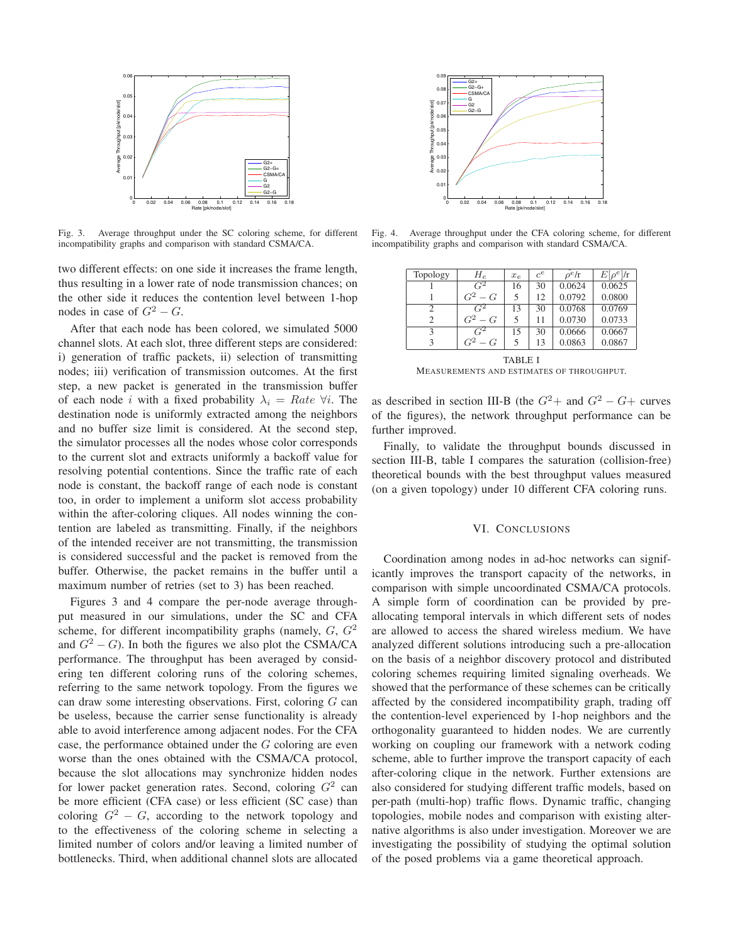

Fig. 3. Average throughput under the SC coloring scheme, for different incompatibility graphs and comparison with standard CSMA/CA.

two different effects: on one side it increases the frame length, thus resulting in a lower rate of node transmission chances; on the other side it reduces the contention level between 1-hop nodes in case of  $G^2 - G$ .

After that each node has been colored, we simulated 5000 channel slots. At each slot, three different steps are considered: i) generation of traffic packets, ii) selection of transmitting nodes; iii) verification of transmission outcomes. At the first step, a new packet is generated in the transmission buffer of each node *i* with a fixed probability  $\lambda_i = Rate \; \forall i$ . The destination node is uniformly extracted among the neighbors and no buffer size limit is considered. At the second step, the simulator processes all the nodes whose color corresponds to the current slot and extracts uniformly a backoff value for resolving potential contentions. Since the traffic rate of each node is constant, the backoff range of each node is constant too, in order to implement a uniform slot access probability within the after-coloring cliques. All nodes winning the contention are labeled as transmitting. Finally, if the neighbors of the intended receiver are not transmitting, the transmission is considered successful and the packet is removed from the buffer. Otherwise, the packet remains in the buffer until a maximum number of retries (set to 3) has been reached.

Figures 3 and 4 compare the per-node average throughput measured in our simulations, under the SC and CFA scheme, for different incompatibility graphs (namely,  $G, G<sup>2</sup>$ and  $G<sup>2</sup> - G$ ). In both the figures we also plot the CSMA/CA performance. The throughput has been averaged by considering ten different coloring runs of the coloring schemes, referring to the same network topology. From the figures we can draw some interesting observations. First, coloring  $G$  can be useless, because the carrier sense functionality is already able to avoid interference among adjacent nodes. For the CFA case, the performance obtained under the  $G$  coloring are even worse than the ones obtained with the CSMA/CA protocol, because the slot allocations may synchronize hidden nodes for lower packet generation rates. Second, coloring  $G<sup>2</sup>$  can be more efficient (CFA case) or less efficient (SC case) than coloring  $G^2 - G$ , according to the network topology and to the effectiveness of the coloring scheme in selecting a limited number of colors and/or leaving a limited number of bottlenecks. Third, when additional channel slots are allocated



Fig. 4. Average throughput under the CFA coloring scheme, for different incompatibility graphs and comparison with standard CSMA/CA.

| Topology | $H_e$            | $x_{e}$ | $c^e$ | $\hat{\alpha}^e/\Gamma$ | $E[\rho^e]/r$ |
|----------|------------------|---------|-------|-------------------------|---------------|
|          | $\overline{G^2}$ | 16      | 30    | 0.0624                  | 0.0625        |
|          | $G^2-G$          | 5       | 12    | 0.0792                  | 0.0800        |
| 2        | $\overline{G^2}$ | 13      | 30    | 0.0768                  | 0.0769        |
| 2        | $G^2-G$          | 5       | 11    | 0.0730                  | 0.0733        |
| 3        | $\overline{G}^2$ | 15      | 30    | 0.0666                  | 0.0667        |
| 3        | $G^2-G$          | 5       | 13    | 0.0863                  | 0.0867        |
| TARI F I |                  |         |       |                         |               |

MEASUREMENTS AND ESTIMATES OF THROUGHPUT.

as described in section III-B (the  $G^2$  + and  $G^2$  –  $G$  + curves of the figures), the network throughput performance can be further improved.

Finally, to validate the throughput bounds discussed in section III-B, table I compares the saturation (collision-free) theoretical bounds with the best throughput values measured (on a given topology) under 10 different CFA coloring runs.

## VI. CONCLUSIONS

Coordination among nodes in ad-hoc networks can significantly improves the transport capacity of the networks, in comparison with simple uncoordinated CSMA/CA protocols. A simple form of coordination can be provided by preallocating temporal intervals in which different sets of nodes are allowed to access the shared wireless medium. We have analyzed different solutions introducing such a pre-allocation on the basis of a neighbor discovery protocol and distributed coloring schemes requiring limited signaling overheads. We showed that the performance of these schemes can be critically affected by the considered incompatibility graph, trading off the contention-level experienced by 1-hop neighbors and the orthogonality guaranteed to hidden nodes. We are currently working on coupling our framework with a network coding scheme, able to further improve the transport capacity of each after-coloring clique in the network. Further extensions are also considered for studying different traffic models, based on per-path (multi-hop) traffic flows. Dynamic traffic, changing topologies, mobile nodes and comparison with existing alternative algorithms is also under investigation. Moreover we are investigating the possibility of studying the optimal solution of the posed problems via a game theoretical approach.